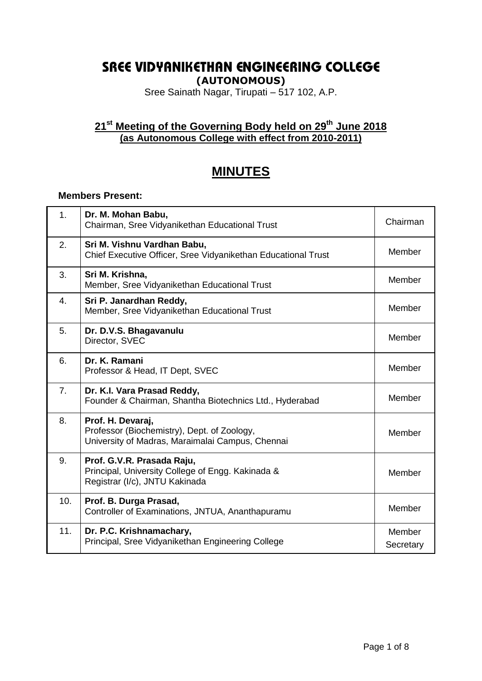# **SREE VIDYANIKETHAN ENGINEERING COLLEGE**

**(AUTONOMOUS)**

Sree Sainath Nagar, Tirupati – 517 102, A.P.

#### **21st Meeting of the Governing Body held on 29 th June 2018 (as Autonomous College with effect from 2010-2011)**

## **MINUTES**

#### **Members Present:**

| 1 <sub>1</sub> | Dr. M. Mohan Babu,<br>Chairman, Sree Vidyanikethan Educational Trust                                                 | Chairman            |
|----------------|----------------------------------------------------------------------------------------------------------------------|---------------------|
| 2.             | Sri M. Vishnu Vardhan Babu,<br>Chief Executive Officer, Sree Vidyanikethan Educational Trust                         | Member              |
| 3.             | Sri M. Krishna,<br>Member, Sree Vidyanikethan Educational Trust                                                      | Member              |
| 4.             | Sri P. Janardhan Reddy,<br>Member, Sree Vidyanikethan Educational Trust                                              | Member              |
| 5.             | Dr. D.V.S. Bhagavanulu<br>Director, SVEC                                                                             | Member              |
| 6.             | Dr. K. Ramani<br>Professor & Head, IT Dept, SVEC                                                                     | Member              |
| 7 <sub>1</sub> | Dr. K.I. Vara Prasad Reddy,<br>Founder & Chairman, Shantha Biotechnics Ltd., Hyderabad                               | Member              |
| 8.             | Prof. H. Devaraj,<br>Professor (Biochemistry), Dept. of Zoology,<br>University of Madras, Maraimalai Campus, Chennai | Member              |
| 9.             | Prof. G.V.R. Prasada Raju,<br>Principal, University College of Engg. Kakinada &<br>Registrar (I/c), JNTU Kakinada    | Member              |
| 10.            | Prof. B. Durga Prasad,<br>Controller of Examinations, JNTUA, Ananthapuramu                                           | Member              |
| 11.            | Dr. P.C. Krishnamachary,<br>Principal, Sree Vidyanikethan Engineering College                                        | Member<br>Secretary |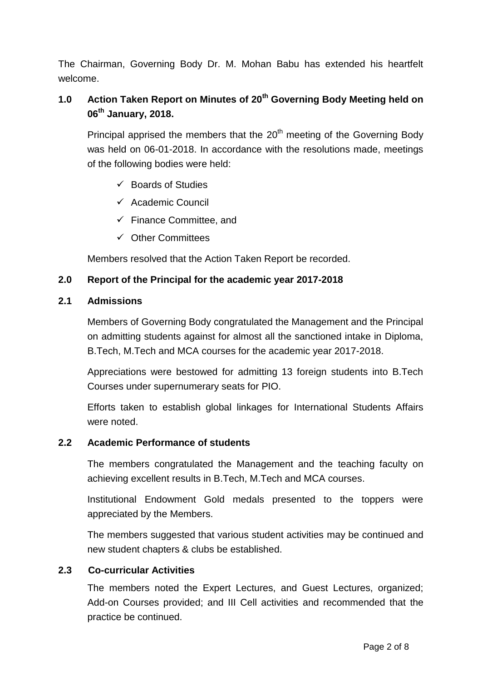The Chairman, Governing Body Dr. M. Mohan Babu has extended his heartfelt welcome.

## **1.0 Action Taken Report on Minutes of 20th Governing Body Meeting held on 06th January, 2018.**

Principal apprised the members that the  $20<sup>th</sup>$  meeting of the Governing Body was held on 06-01-2018. In accordance with the resolutions made, meetings of the following bodies were held:

- $\checkmark$  Boards of Studies
- $\checkmark$  Academic Council
- $\checkmark$  Finance Committee, and
- $\checkmark$  Other Committees

Members resolved that the Action Taken Report be recorded.

#### **2.0 Report of the Principal for the academic year 2017-2018**

#### **2.1 Admissions**

Members of Governing Body congratulated the Management and the Principal on admitting students against for almost all the sanctioned intake in Diploma, B.Tech, M.Tech and MCA courses for the academic year 2017-2018.

Appreciations were bestowed for admitting 13 foreign students into B.Tech Courses under supernumerary seats for PIO.

Efforts taken to establish global linkages for International Students Affairs were noted.

#### **2.2 Academic Performance of students**

The members congratulated the Management and the teaching faculty on achieving excellent results in B.Tech, M.Tech and MCA courses.

Institutional Endowment Gold medals presented to the toppers were appreciated by the Members.

The members suggested that various student activities may be continued and new student chapters & clubs be established.

#### **2.3 Co-curricular Activities**

The members noted the Expert Lectures, and Guest Lectures, organized; Add-on Courses provided; and III Cell activities and recommended that the practice be continued.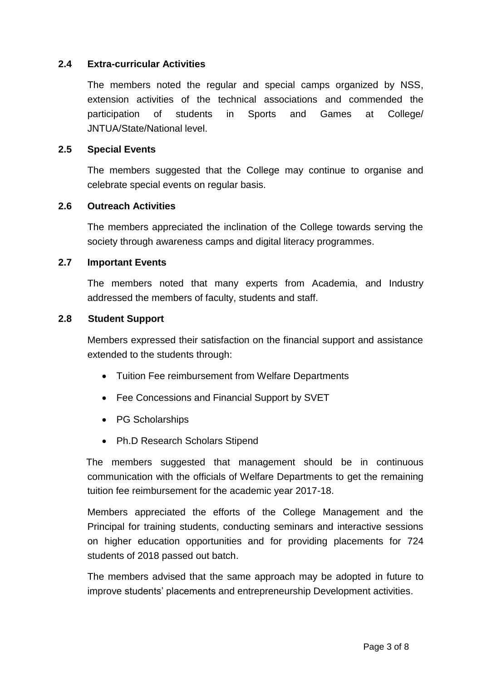#### **2.4 Extra-curricular Activities**

The members noted the regular and special camps organized by NSS, extension activities of the technical associations and commended the participation of students in Sports and Games at College/ JNTUA/State/National level.

#### **2.5 Special Events**

The members suggested that the College may continue to organise and celebrate special events on regular basis.

#### **2.6 Outreach Activities**

The members appreciated the inclination of the College towards serving the society through awareness camps and digital literacy programmes.

#### **2.7 Important Events**

The members noted that many experts from Academia, and Industry addressed the members of faculty, students and staff.

#### **2.8 Student Support**

Members expressed their satisfaction on the financial support and assistance extended to the students through:

- Tuition Fee reimbursement from Welfare Departments
- Fee Concessions and Financial Support by SVET
- PG Scholarships
- Ph.D Research Scholars Stipend

 The members suggested that management should be in continuous communication with the officials of Welfare Departments to get the remaining tuition fee reimbursement for the academic year 2017-18.

Members appreciated the efforts of the College Management and the Principal for training students, conducting seminars and interactive sessions on higher education opportunities and for providing placements for 724 students of 2018 passed out batch.

The members advised that the same approach may be adopted in future to improve students' placements and entrepreneurship Development activities.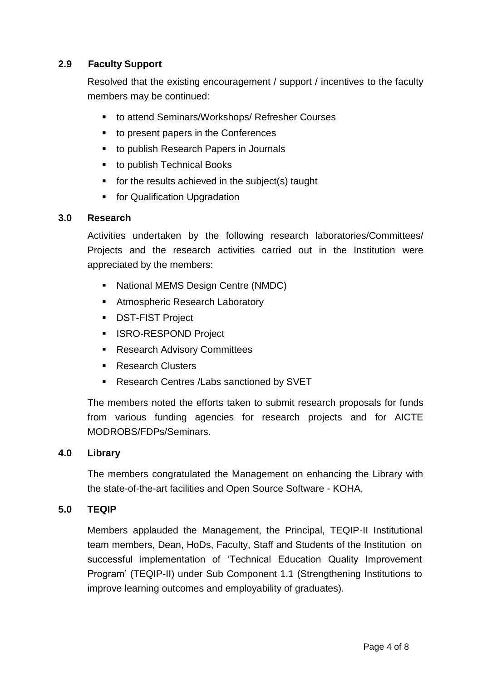### **2.9 Faculty Support**

Resolved that the existing encouragement / support / incentives to the faculty members may be continued:

- to attend Seminars/Workshops/ Refresher Courses
- to present papers in the Conferences
- to publish Research Papers in Journals
- to publish Technical Books
- $\blacksquare$  for the results achieved in the subject(s) taught
- **Fig. 5 For Qualification Upgradation**

#### **3.0 Research**

Activities undertaken by the following research laboratories/Committees/ Projects and the research activities carried out in the Institution were appreciated by the members:

- National MEMS Design Centre (NMDC)
- **Atmospheric Research Laboratory**
- **DST-FIST Project**
- **ISRO-RESPOND Project**
- Research Advisory Committees
- Research Clusters
- **Research Centres /Labs sanctioned by SVET**

The members noted the efforts taken to submit research proposals for funds from various funding agencies for research projects and for AICTE MODROBS/FDPs/Seminars.

#### **4.0 Library**

The members congratulated the Management on enhancing the Library with the state-of-the-art facilities and Open Source Software - KOHA.

#### **5.0 TEQIP**

Members applauded the Management, the Principal, TEQIP-II Institutional team members, Dean, HoDs, Faculty, Staff and Students of the Institution on successful implementation of 'Technical Education Quality Improvement Program' (TEQIP-II) under Sub Component 1.1 (Strengthening Institutions to improve learning outcomes and employability of graduates).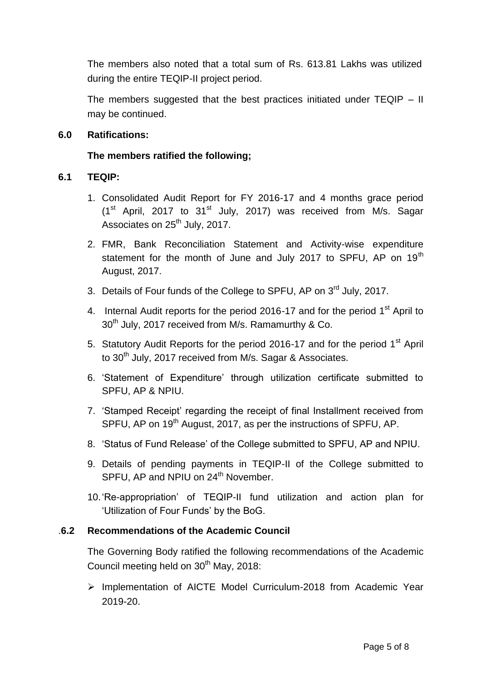The members also noted that a total sum of Rs. 613.81 Lakhs was utilized during the entire TEQIP-II project period.

The members suggested that the best practices initiated under TEQIP – II may be continued.

#### **6.0 Ratifications:**

#### **The members ratified the following;**

#### **6.1 TEQIP:**

- 1. Consolidated Audit Report for FY 2016-17 and 4 months grace period  $(1<sup>st</sup>$  April, 2017 to 31<sup>st</sup> July, 2017) was received from M/s. Sagar Associates on 25<sup>th</sup> July, 2017.
- 2. FMR, Bank Reconciliation Statement and Activity-wise expenditure statement for the month of June and July 2017 to SPFU, AP on 19<sup>th</sup> August, 2017.
- 3. Details of Four funds of the College to SPFU, AP on 3<sup>rd</sup> July, 2017.
- 4. Internal Audit reports for the period 2016-17 and for the period 1<sup>st</sup> April to 30<sup>th</sup> July, 2017 received from M/s. Ramamurthy & Co.
- 5. Statutory Audit Reports for the period 2016-17 and for the period  $1<sup>st</sup>$  April to 30<sup>th</sup> July, 2017 received from M/s. Sagar & Associates.
- 6. 'Statement of Expenditure' through utilization certificate submitted to SPFU, AP & NPIU.
- 7. 'Stamped Receipt' regarding the receipt of final Installment received from SPFU, AP on 19<sup>th</sup> August, 2017, as per the instructions of SPFU, AP.
- 8. 'Status of Fund Release' of the College submitted to SPFU, AP and NPIU.
- 9. Details of pending payments in TEQIP-II of the College submitted to SPFU, AP and NPIU on 24<sup>th</sup> November.
- 10.'Re-appropriation' of TEQIP-II fund utilization and action plan for 'Utilization of Four Funds' by the BoG.

#### .**6.2 Recommendations of the Academic Council**

The Governing Body ratified the following recommendations of the Academic Council meeting held on 30<sup>th</sup> May, 2018:

 Implementation of AICTE Model Curriculum-2018 from Academic Year 2019-20.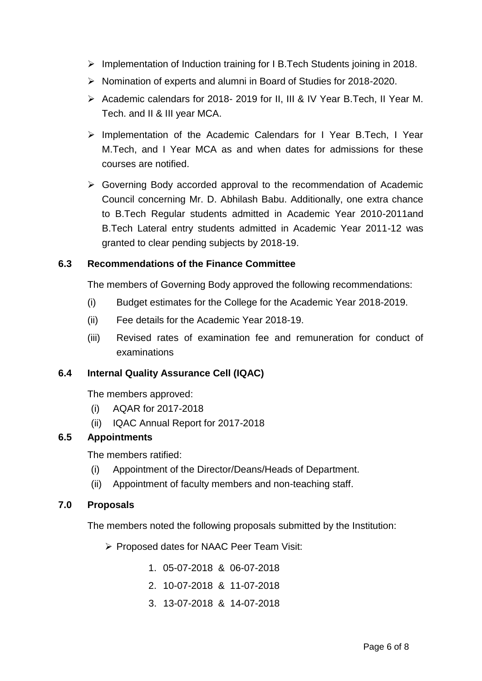- $\triangleright$  Implementation of Induction training for I B. Tech Students joining in 2018.
- $\triangleright$  Nomination of experts and alumni in Board of Studies for 2018-2020.
- Academic calendars for 2018- 2019 for II, III & IV Year B. Tech, II Year M. Tech. and II & III year MCA.
- Implementation of the Academic Calendars for I Year B.Tech, I Year M.Tech, and I Year MCA as and when dates for admissions for these courses are notified.
- Governing Body accorded approval to the recommendation of Academic Council concerning Mr. D. Abhilash Babu. Additionally, one extra chance to B.Tech Regular students admitted in Academic Year 2010-2011and B.Tech Lateral entry students admitted in Academic Year 2011-12 was granted to clear pending subjects by 2018-19.

#### **6.3 Recommendations of the Finance Committee**

The members of Governing Body approved the following recommendations:

- (i) Budget estimates for the College for the Academic Year 2018-2019.
- (ii) Fee details for the Academic Year 2018-19.
- (iii) Revised rates of examination fee and remuneration for conduct of examinations

#### **6.4 Internal Quality Assurance Cell (IQAC)**

The members approved:

- (i) AQAR for 2017-2018
- (ii) IQAC Annual Report for 2017-2018

#### **6.5 Appointments**

The members ratified:

- (i) Appointment of the Director/Deans/Heads of Department.
- (ii) Appointment of faculty members and non-teaching staff.

#### **7.0 Proposals**

The members noted the following proposals submitted by the Institution:

▶ Proposed dates for NAAC Peer Team Visit:

- 1. 05-07-2018 & 06-07-2018
- 2. 10-07-2018 & 11-07-2018
- 3. 13-07-2018 & 14-07-2018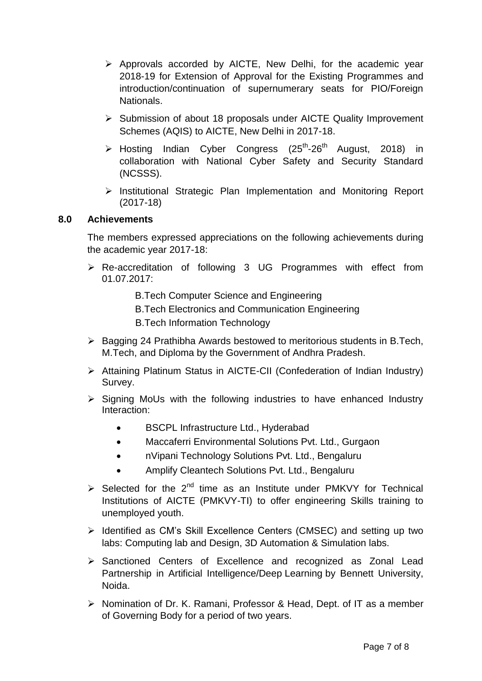- $\triangleright$  Approvals accorded by AICTE, New Delhi, for the academic year 2018-19 for Extension of Approval for the Existing Programmes and introduction/continuation of supernumerary seats for PIO/Foreign Nationals.
- $\triangleright$  Submission of about 18 proposals under AICTE Quality Improvement Schemes (AQIS) to AICTE, New Delhi in 2017-18.
- $\triangleright$  Hosting Indian Cyber Congress (25<sup>th</sup>-26<sup>th</sup> August, 2018) in collaboration with National Cyber Safety and Security Standard (NCSSS).
- $\triangleright$  Institutional Strategic Plan Implementation and Monitoring Report (2017-18)

#### **8.0 Achievements**

The members expressed appreciations on the following achievements during the academic year 2017-18:

- Re-accreditation of following 3 UG Programmes with effect from 01.07.2017:
	- B.Tech Computer Science and Engineering
	- B.Tech Electronics and Communication Engineering
	- B.Tech Information Technology
- $\triangleright$  Bagging 24 Prathibha Awards bestowed to meritorious students in B.Tech, M.Tech, and Diploma by the Government of Andhra Pradesh.
- Attaining Platinum Status in AICTE-CII (Confederation of Indian Industry) Survey.
- $\triangleright$  Signing MoUs with the following industries to have enhanced Industry Interaction:
	- BSCPL Infrastructure Ltd., Hyderabad
	- Maccaferri Environmental Solutions Pvt. Ltd., Gurgaon
	- nVipani Technology Solutions Pvt. Ltd., Bengaluru
	- Amplify Cleantech Solutions Pvt. Ltd., Bengaluru
- $\triangleright$  Selected for the 2<sup>nd</sup> time as an Institute under PMKVY for Technical Institutions of AICTE (PMKVY-TI) to offer engineering Skills training to unemployed youth.
- $\triangleright$  Identified as CM's Skill Excellence Centers (CMSEC) and setting up two labs: Computing lab and Design, 3D Automation & Simulation labs.
- Sanctioned Centers of Excellence and recognized as Zonal Lead Partnership in Artificial Intelligence/Deep Learning by Bennett University, Noida.
- ▶ Nomination of Dr. K. Ramani, Professor & Head, Dept. of IT as a member of Governing Body for a period of two years.